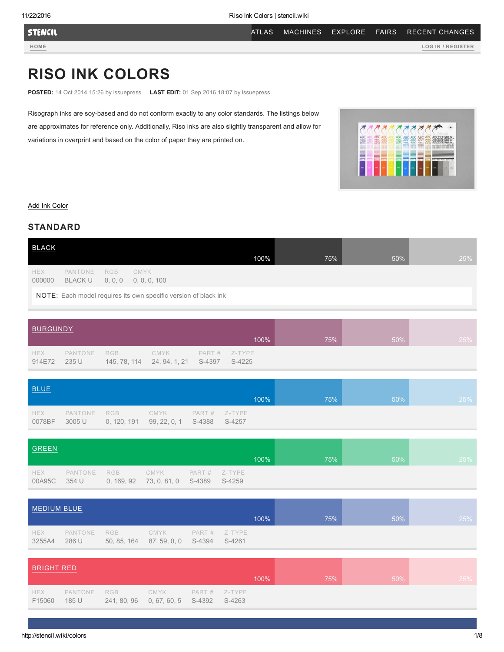**STENCIL** 

[HOME](http://stencil.wiki/) LOG IN / [REGISTER](http://stencil.wiki/user/login)

# RISO INK COLORS

POSTED: 14 Oct 2014 15:26 by issuepress LAST EDIT: 01 Sep 2016 18:07 by issuepress

Risograph inks are soy-based and do not conform exactly to any color standards. The listings below are approximates for reference only. Additionally, Riso inks are also slightly transparent and allow for variations in overprint and based on the color of paper they are printed on.



### [Add Ink Color](http://stencil.wiki/admin/structure/taxonomy/ink_colors/add)

## STANDARD

| <b>BLACK</b>         |                           |     |                                                                 | 100% | 75% | 50% | 25% |
|----------------------|---------------------------|-----|-----------------------------------------------------------------|------|-----|-----|-----|
| <b>HEX</b><br>000000 | PANTONE<br><b>BLACK U</b> | RGB | CMYK<br>$0, 0, 0$ 0, 0, 0, 100                                  |      |     |     |     |
|                      |                           |     | NOTE: Each model requires its own specific version of black ink |      |     |     |     |

| BURGUNDY      |       |                  |                                                |                 |      |     |        |     |
|---------------|-------|------------------|------------------------------------------------|-----------------|------|-----|--------|-----|
|               |       |                  |                                                |                 | 100% | 75% | $50\%$ | 25% |
| HEX<br>914E72 | 235 U | PANTONE RGB CMYK | 145, 78, 114   24, 94, 1, 21   S-4397   S-4225 | $PART # Z-TYPE$ |      |     |        |     |

| <b>BLUE</b>          |                   |                    |                             |                          |         |     |     |     |
|----------------------|-------------------|--------------------|-----------------------------|--------------------------|---------|-----|-----|-----|
|                      |                   |                    |                             |                          | $100\%$ | 75% | 50% | 25% |
| <b>HEX</b><br>0078BF | PANTONE<br>3005 U | RGB<br>0, 120, 191 | CMYK<br>99, 22, 0, 1 S-4388 | $PART#$ Z-TYPE<br>S-4257 |         |     |     |     |

| <b>GREEN</b> |  |                                                                                     |  |      |     |     |     |
|--------------|--|-------------------------------------------------------------------------------------|--|------|-----|-----|-----|
|              |  |                                                                                     |  | 100% | 75% | 50% | 25% |
| <b>HEX</b>   |  | PANTONE RGB CMYK PART# Z-TYPE<br>00A95C 354 U 0, 169, 92 73, 0, 81, 0 S-4389 S-4259 |  |      |     |     |     |

| MEDIUM BLUE   |                  |     |                                         |                |        |      |     |     |     |
|---------------|------------------|-----|-----------------------------------------|----------------|--------|------|-----|-----|-----|
|               |                  |     |                                         |                |        | 100% | 75% | 50% | 25% |
| HEX<br>3255A4 | PANTONE<br>286 U | RGB | CMYK<br>50, 85, 164 87, 59, 0, 0 S-4394 | $PART#$ Z-TYPE | S-4261 |      |     |     |     |

| BRIGHT RED    |       |                                                                         |  |  |         |     |     |     |
|---------------|-------|-------------------------------------------------------------------------|--|--|---------|-----|-----|-----|
|               |       |                                                                         |  |  | $100\%$ | 75% | 50% | 25% |
| HEX<br>F15060 | 185 U | PANTONE RGB CMYK PART# Z-TYPE<br>241, 80, 96 0, 67, 60, 5 S-4392 S-4263 |  |  |         |     |     |     |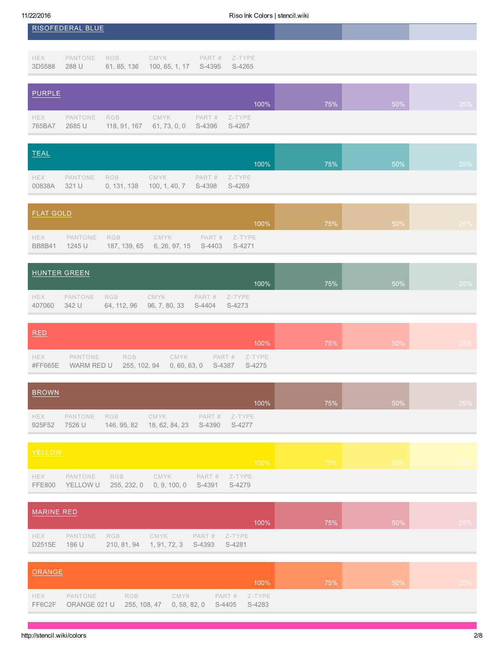|                      | RISOFEDERAL BLUE  |                     |                               |                  |                  |     |     |     |
|----------------------|-------------------|---------------------|-------------------------------|------------------|------------------|-----|-----|-----|
| <b>HEX</b><br>3D5588 | PANTONE<br>288 U  | RGB<br>61, 85, 136  | CMYK<br>100, 65, 1, 17 S-4395 | PART #           | Z-TYPE<br>S-4265 |     |     |     |
| PURPLE               |                   |                     |                               |                  | 100%             | 75% | 50% | 25% |
| <b>HEX</b><br>765BA7 | PANTONE<br>2685 U | RGB<br>118, 91, 167 | CMYK<br>61, 73, 0, 0          | PART #<br>S-4396 | Z-TYPE<br>S-4267 |     |     |     |

| TEAL                 |  |                                                                                |      |     |     |     |
|----------------------|--|--------------------------------------------------------------------------------|------|-----|-----|-----|
|                      |  |                                                                                | 100% | 75% | 50% | 25% |
| <b>HEX</b><br>00838A |  | PANTONE RGB CMYK PART# Z-TYPE<br>321 U 0, 131, 138 100, 1, 40, 7 S-4398 S-4269 |      |     |     |     |

| <b>FLAT GOLD</b>            |                       |                                          |      |                  |     |        |     |
|-----------------------------|-----------------------|------------------------------------------|------|------------------|-----|--------|-----|
|                             |                       |                                          |      | 100%             | 75% | $50\%$ | 25% |
| <b>HEX</b><br><b>BB8B41</b> | PANTONE RGB<br>1245 U | 187, 139, 65 6, 26, 97, 15 S-4403 S-4271 | CMYK | $PART#$ $Z-TYPE$ |     |        |     |

|               | HUNTER GREEN |             |                                                    | 100%             | 75% | 50% | 25% |
|---------------|--------------|-------------|----------------------------------------------------|------------------|-----|-----|-----|
| HEX<br>407060 | 342 U        | PANTONE RGB | CMYK<br>64, 112, 96  96, 7, 80, 33  S-4404  S-4273 | $PART#$ $Z-TYPE$ |     |     |     |

| RED            |                                                                                      |  |      |     |               |     |
|----------------|--------------------------------------------------------------------------------------|--|------|-----|---------------|-----|
|                |                                                                                      |  | 100% | 75% | $\sqrt{50\%}$ | 25% |
| HEX<br>#FF665E | PANTONE RGB CMYK PART # Z-TYPE<br>WARM RED U 255, 102, 94 0, 60, 63, 0 S-4387 S-4275 |  |      |     |               |     |

| <b>BROWN</b>         |                   |            |                                                            |                  |     |     |     |
|----------------------|-------------------|------------|------------------------------------------------------------|------------------|-----|-----|-----|
|                      |                   |            |                                                            | 100%             | 75% | 50% | 25% |
| <b>HEX</b><br>925F52 | PANTONE<br>7526 U | <b>RGB</b> | <b>CMYK</b><br>146, 95, 82  18, 62, 84, 23  S-4390  S-4277 | $PART#$ $Z-TYPE$ |     |     |     |

| YELLOW |                                                                                             |  |  |                                                                                                                                                                                                                                |        |
|--------|---------------------------------------------------------------------------------------------|--|--|--------------------------------------------------------------------------------------------------------------------------------------------------------------------------------------------------------------------------------|--------|
|        |                                                                                             |  |  | $100\%$ , and the set of $75\%$ , and the set of $50\%$ , and the set of $75\%$ , and the set of $75\%$ , and the set of $75\%$ , and the set of $75\%$ , and the set of $75\%$ , and the set of $75\%$ , and the set of $75\$ | $25\%$ |
|        | HEX PANTONE RGB CMYK PART# Z-TYPE<br>FFE800 YELLOW U 255, 232, 0 0, 9, 100, 0 S-4391 S-4279 |  |  |                                                                                                                                                                                                                                |        |

| MARINE RED           |                      |                                              |      |               |     |     |     |
|----------------------|----------------------|----------------------------------------------|------|---------------|-----|-----|-----|
|                      |                      |                                              |      | $100\%$       | 75% | 50% | 25% |
| <b>HEX</b><br>D2515E | PANTONE RGB<br>186 U | 210, 81, 94   1, 91, 72, 3   S-4393   S-4281 | CMYK | PART # Z-TYPE |     |     |     |

| <b>ORANGE</b>        |                                                                 |     |      |                  |      |     |     |     |
|----------------------|-----------------------------------------------------------------|-----|------|------------------|------|-----|-----|-----|
|                      |                                                                 |     |      |                  | 100% | 75% | 50% | 25% |
| <b>HEX</b><br>FF6C2F | PANTONE<br>ORANGE 021 U 255, 108, 47 0, 58, 82, 0 S-4405 S-4283 | RGB | CMYK | $PART#$ $Z-TYPE$ |      |     |     |     |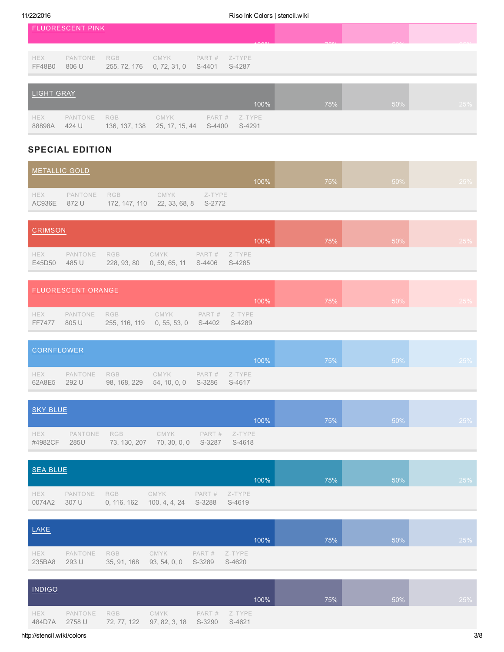|                             | <b>FLUORESCENT PINK</b> |                            |                                      |                  |                  |     |     |     |
|-----------------------------|-------------------------|----------------------------|--------------------------------------|------------------|------------------|-----|-----|-----|
|                             |                         |                            |                                      |                  | 40001            | 70/ | FOM |     |
| <b>HEX</b><br><b>FF48B0</b> | PANTONE<br>806 U        | <b>RGB</b><br>255, 72, 176 | CMYK<br>0, 72, 31, 0                 | PART #<br>S-4401 | Z-TYPE<br>S-4287 |     |     |     |
| <b>LIGHT GRAY</b>           |                         |                            |                                      |                  |                  |     |     |     |
|                             |                         |                            |                                      |                  | 100%             | 75% | 50% | 25% |
| <b>HEX</b><br>88898A        | PANTONE<br>424 U        | <b>RGB</b>                 | CMYK<br>136, 137, 138 25, 17, 15, 44 | PART #<br>S-4400 | Z-TYPE<br>S-4291 |     |     |     |

## SPECIAL EDITION

| METALLIC GOLD |                             |                                    |      |        |      |     |        |     |
|---------------|-----------------------------|------------------------------------|------|--------|------|-----|--------|-----|
|               |                             |                                    |      |        | 100% | 75% | $50\%$ | 25% |
| <b>HEX</b>    | PANTONE RGB<br>AC936E 872 U | 172, 147, 110 22, 33, 68, 8 S-2772 | CMYK | Z-TYPE |      |     |        |     |

| <b>CRIMSON</b>       |                  |     |                                                 |                  |      |     |         |     |
|----------------------|------------------|-----|-------------------------------------------------|------------------|------|-----|---------|-----|
|                      |                  |     |                                                 |                  | 100% | 75% | $.50\%$ | 25% |
| <b>HEX</b><br>E45D50 | PANTONE<br>485 U | RGB | CMYK<br>228, 93, 80 0, 59, 65, 11 S-4406 S-4285 | $PART#$ $Z-TYPE$ |      |     |         |     |

|               | <b>FLUORESCENT ORANGE</b> |                                                            |      |                |        |                             |     |
|---------------|---------------------------|------------------------------------------------------------|------|----------------|--------|-----------------------------|-----|
|               |                           |                                                            |      | 100%           | $75\%$ | $\setminus$ 50% $\setminus$ | 25% |
| HEX<br>FF7477 | 805 U                     | PANTONE RGB<br>255, 116, 119  0, 55, 53, 0  S-4402  S-4289 | CMYK | $PART#$ Z-TYPE |        |                             |     |

| CORNFLOWER           |              |                                                        |                    |      |     |        |     |
|----------------------|--------------|--------------------------------------------------------|--------------------|------|-----|--------|-----|
|                      |              |                                                        |                    | 100% | 75% | $50\%$ | 25% |
| <b>HEX</b><br>62A8E5 | $\sim$ 292 U | PANTONE RGB<br>98, 168, 229 54, 10, 0, 0 S-3286 S-4617 | CMYK PART # Z-TYPE |      |     |        |     |

| SKY BLUE       |      |                                                                          |  |      |     |        |     |
|----------------|------|--------------------------------------------------------------------------|--|------|-----|--------|-----|
|                |      |                                                                          |  | 100% | 75% | $50\%$ | 25% |
| HEX<br>#4982CF | 285U | PANTONE RGB CMYK PART# Z-TYPE<br>73, 130, 207 70, 30, 0, 0 S-3287 S-4618 |  |      |     |        |     |

| SEA BLUE |  |                                                                                       |      |     |     |     |
|----------|--|---------------------------------------------------------------------------------------|------|-----|-----|-----|
|          |  |                                                                                       | 100% | 75% | 50% | 25% |
| HEX      |  | PANTONE RGB CMYK PART# Z-TYPE<br>0074A2 307 U 0, 116, 162 100, 4, 4, 24 S-3288 S-4619 |      |     |     |     |

| LAKE          |       |                                                       |      |                  | 100% | 75% | 50% | 25% |
|---------------|-------|-------------------------------------------------------|------|------------------|------|-----|-----|-----|
| HEX<br>235BA8 | 293 U | PANTONE RGB<br>35, 91, 168 93, 54, 0, 0 S-3289 S-4620 | CMYK | $PART#$ $Z-TYPE$ |      |     |     |     |

| <b>INDIGO</b>        |             |                                                               |                |     |     |     |
|----------------------|-------------|---------------------------------------------------------------|----------------|-----|-----|-----|
|                      |             |                                                               | 100%           | 75% | 50% | 25% |
| <b>HEX</b><br>484D7A | PANTONE RGB | <b>CMYK</b><br>2758 U 72, 77, 122 97, 82, 3, 18 S-3290 S-4621 | $PART# Z-TYPE$ |     |     |     |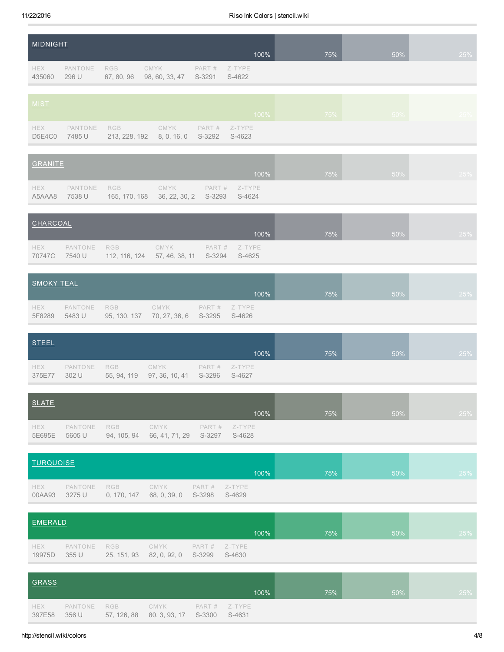| MIDNIGHT<br>$100\%$ |                  |     |                                          |  |                            | 75% | 50% | 25% |
|---------------------|------------------|-----|------------------------------------------|--|----------------------------|-----|-----|-----|
| HEX<br>435060       | PANTONE<br>296 U | RGB | CMYK<br>67, 80, 96 98, 60, 33, 47 S-3291 |  | $PART#$ $Z-TYPE$<br>S-4622 |     |     |     |

| MIST                 |        |                                                                          |  | $100\%$ | $75\%$ | 50% l |  |
|----------------------|--------|--------------------------------------------------------------------------|--|---------|--------|-------|--|
| <b>HEX</b><br>D5E4C0 | 7485 U | PANTONE RGB CMYK PART# Z-TYPE<br>213, 228, 192 8, 0, 16, 0 S-3292 S-4623 |  |         |        |       |  |

| GRANITE              |        |                                                                             |  |      |     |        |     |
|----------------------|--------|-----------------------------------------------------------------------------|--|------|-----|--------|-----|
|                      |        |                                                                             |  | 100% | 75% | $50\%$ | 25% |
| <b>HEX</b><br>A5AAA8 | 7538 U | PANTONE RGB CMYK PART # Z-TYPE<br>165, 170, 168 36, 22, 30, 2 S-3293 S-4624 |  |      |     |        |     |

| CHARCOAL      |        |                  |                                            |               |      |     |     |     |
|---------------|--------|------------------|--------------------------------------------|---------------|------|-----|-----|-----|
|               |        |                  |                                            |               | 100% | 75% | 50% | 25% |
| HEX<br>70747C | 7540 U | PANTONE RGB CMYK | 112, 116, 124 57, 46, 38, 11 S-3294 S-4625 | PART # Z-TYPE |      |     |     |     |

| SMOKY TEAL           |                       |                                                  |               |      |     |     |               |
|----------------------|-----------------------|--------------------------------------------------|---------------|------|-----|-----|---------------|
|                      |                       |                                                  |               | 100% | 75% | 50% | $\sqrt{25\%}$ |
| <b>HEX</b><br>5F8289 | PANTONE RGB<br>5483 U | CMYK<br>95, 130, 137 70, 27, 36, 6 S-3295 S-4626 | PART # Z-TYPE |      |     |     |               |

| <b>STEEL</b>  |       |                                                                           |      |     |     |     |
|---------------|-------|---------------------------------------------------------------------------|------|-----|-----|-----|
|               |       |                                                                           | 100% | 75% | 50% | 25% |
| HEX<br>375E77 | 302 U | PANTONE RGB CMYK PART# Z-TYPE<br>55, 94, 119 97, 36, 10, 41 S-3296 S-4627 |      |     |     |     |

| SLATE         |        |                                                              |                  |     |     |     |
|---------------|--------|--------------------------------------------------------------|------------------|-----|-----|-----|
|               |        |                                                              | 100%             | 75% | 50% | 25% |
| HEX<br>5E695E | 5605 U | PANTONE RGB CMYK<br>94, 105, 94 66, 41, 71, 29 S-3297 S-4628 | $PART#$ $Z-TYPE$ |     |     |     |

| TURQUOISE<br>100% |                   |                                        |      |  |                            | 75% | 50% | 25% |
|-------------------|-------------------|----------------------------------------|------|--|----------------------------|-----|-----|-----|
| HEX<br>00AA93     | PANTONE<br>3275 U | RGB<br>0, 170, 147 68, 0, 39, 0 S-3298 | CMYK |  | $PART#$ $Z-TYPE$<br>S-4629 |     |     |     |

| EMERALD              |                  |            |                                         |                         |     |     |     |
|----------------------|------------------|------------|-----------------------------------------|-------------------------|-----|-----|-----|
|                      |                  |            |                                         | 100%                    | 75% | 50% | 25% |
| <b>HEX</b><br>19975D | PANTONE<br>355 U | <b>RGB</b> | CMYK<br>25, 151, 93 82, 0, 92, 0 S-3299 | PART # Z-TYPE<br>S-4630 |     |     |     |

| GRASS                |                  |     |                                          |                  |        |     |     |     |
|----------------------|------------------|-----|------------------------------------------|------------------|--------|-----|-----|-----|
|                      |                  |     |                                          |                  | 100%   | 75% | 50% | 25% |
| <b>HEX</b><br>397E58 | PANTONE<br>356 U | RGB | CMYK<br>57, 126, 88 80, 3, 93, 17 S-3300 | $PART#$ $Z-TYPE$ | S-4631 |     |     |     |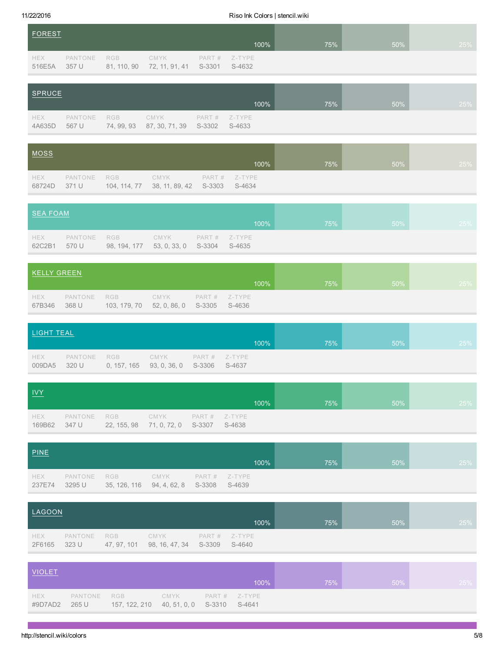4A635D 567 U

74, 99, 93

87, 30, 71, 39

11/22/2016 Riso Ink Colors | stencil.wiki

| <b>FOREST</b> |                  |                           |                        |                  |                  |     |     |     |
|---------------|------------------|---------------------------|------------------------|------------------|------------------|-----|-----|-----|
|               |                  |                           |                        |                  | 100%             | 75% | 50% | 25% |
| HEX<br>516E5A | PANTONE<br>357 U | <b>RGB</b><br>81, 110, 90 | CMYK<br>72, 11, 91, 41 | PART #<br>S-3301 | Z-TYPE<br>S-4632 |     |     |     |
| SPRUCE        |                  |                           |                        |                  |                  |     |     |     |
|               |                  |                           |                        |                  | 100%             | 75% | 50% | 25% |
| HEX           | PANTONE          | RGB                       | <b>CMYK</b>            | PART #           | Z-TYPE           |     |     |     |

| <u>MOSS</u>   |       |                                                               |                  |     |     |     |
|---------------|-------|---------------------------------------------------------------|------------------|-----|-----|-----|
|               |       |                                                               | $100\%$          | 75% | 50% | 25% |
| HEX<br>68724D | 371 U | PANTONE RGB CMYK<br>104, 114, 77 38, 11, 89, 42 S-3303 S-4634 | $PART#$ $Z-TYPE$ |     |     |     |

S-3302 S-4633

| SEA FOAM             |                                                                                |  |      |     |        |     |
|----------------------|--------------------------------------------------------------------------------|--|------|-----|--------|-----|
|                      |                                                                                |  | 100% | 75% | $50\%$ | 25% |
| <b>HEX</b><br>62C2B1 | PANTONE RGB CMYK PART# Z-TYPE<br>570 U 98, 194, 177 53, 0, 33, 0 S-3304 S-4635 |  |      |     |        |     |

| KELLY GREEN   |       |                                                                          |  |      |     |     |     |
|---------------|-------|--------------------------------------------------------------------------|--|------|-----|-----|-----|
|               |       |                                                                          |  | 100% | 75% | 50% | 25% |
| HEX<br>67B346 | 368 U | PANTONE RGB CMYK PART# Z-TYPE<br>103, 179, 70 52, 0, 86, 0 S-3305 S-4636 |  |      |     |     |     |

| LIGHT TEAL           |                                                                               |  |      |     |     |        |
|----------------------|-------------------------------------------------------------------------------|--|------|-----|-----|--------|
|                      |                                                                               |  | 100% | 75% | 50% | $25\%$ |
| <b>HEX</b><br>009DA5 | PANTONE RGB CMYK PART# Z-TYPE<br>320 U 0, 157, 165 93, 0, 36, 0 S-3306 S-4637 |  |      |     |     |        |

| <b>IVY</b> |                                                                                      |  |      |     |     |     |
|------------|--------------------------------------------------------------------------------------|--|------|-----|-----|-----|
|            |                                                                                      |  | 100% | 75% | 50% | 25% |
| HEX        | PANTONE RGB CMYK PART# Z-TYPE<br>169B62 347 U 22, 155, 98 71, 0, 72, 0 S-3307 S-4638 |  |      |     |     |     |

| PINE          |        |                                                                           |  |      |     |        |     |
|---------------|--------|---------------------------------------------------------------------------|--|------|-----|--------|-----|
|               |        |                                                                           |  | 100% | 75% | $50\%$ | 25% |
| HEX<br>237E74 | 3295 U | PANTONE RGB CMYK PART # Z-TYPE<br>35, 126, 116 94, 4, 62, 8 S-3308 S-4639 |  |      |     |        |     |

| LAGOON                     |             |                                                  |                |     |     |     |
|----------------------------|-------------|--------------------------------------------------|----------------|-----|-----|-----|
|                            |             |                                                  | 100%           | 75% | 50% | 25% |
| <b>HEX</b><br>2F6165 323 U | PANTONE RGB | CMYK<br>47, 97, 101 98, 16, 47, 34 S-3309 S-4640 | $PART#$ Z-TYPE |     |     |     |

| <b>VIOLET</b>         |       |                                                              |  | $100\%$          | 75% | $50\%$ | 25% |
|-----------------------|-------|--------------------------------------------------------------|--|------------------|-----|--------|-----|
|                       |       |                                                              |  |                  |     |        |     |
| <b>HEX</b><br>#9D7AD2 | 265 U | PANTONE RGB CMYK<br>157, 122, 210 40, 51, 0, 0 S-3310 S-4641 |  | $PART#$ $Z-TYPE$ |     |        |     |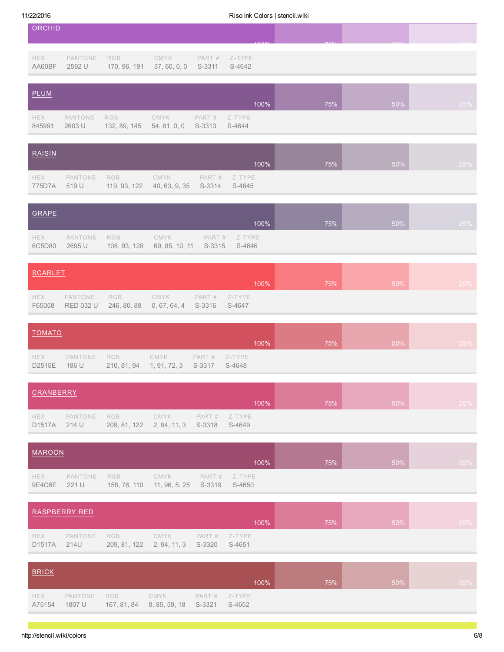| ORCHID               |                   |                            |                      |                  |                          | 40001 | 7.501 | FOM | $\cap$ $\cap$ $\cap$ |
|----------------------|-------------------|----------------------------|----------------------|------------------|--------------------------|-------|-------|-----|----------------------|
| HEX<br>AA60BF        | PANTONE<br>2592 U | RGB<br>170, 96, 191        | CMYK<br>37,60,0,0    | S-3311           | $PART#$ Z-TYPE<br>S-4642 |       |       |     |                      |
| <b>PLUM</b>          |                   |                            |                      |                  |                          | 100%  | 75%   | 50% | 25%                  |
| <b>HEX</b><br>845991 | PANTONE<br>2603 U | <b>RGB</b><br>132, 89, 145 | CMYK<br>54, 81, 0, 0 | PART #<br>S-3313 | Z-TYPE<br>S-4644         |       |       |     |                      |

| RAISIN        |                      |                                                  |                |     |     |     |
|---------------|----------------------|--------------------------------------------------|----------------|-----|-----|-----|
|               |                      |                                                  | 100%           | 75% | 50% | 25% |
| HEX<br>775D7A | PANTONE RGB<br>519 U | CMYK<br>119, 93, 122 40, 63, 9, 35 S-3314 S-4645 | $PART# Z-TYPE$ |     |     |     |

| GRAPE         |                       |                                                     |                |     |     |     |
|---------------|-----------------------|-----------------------------------------------------|----------------|-----|-----|-----|
|               |                       |                                                     | 100%           | 75% | 50% | 25% |
| HEX<br>6C5D80 | PANTONE RGB<br>2695 U | CMYK T<br>108, 93, 128 69, 85, 10, 11 S-3315 S-4646 | $PART#$ Z-TYPE |     |     |     |

| SCARLET              |                                                                                   |  |      |     |     |     |
|----------------------|-----------------------------------------------------------------------------------|--|------|-----|-----|-----|
|                      |                                                                                   |  | 100% | 75% | 50% | 25% |
| <b>HEX</b><br>F65058 | PANTONE RGB CMYK PART# Z-TYPE<br>RED 032 U 246, 80, 88 0, 67, 64, 4 S-3316 S-4647 |  |      |     |     |     |

| <b>TOMATO</b>        |       |                                                       |      |                |      |     |     |     |
|----------------------|-------|-------------------------------------------------------|------|----------------|------|-----|-----|-----|
|                      |       |                                                       |      |                | 100% | 75% | 50% | 25% |
| <b>HEX</b><br>D2515E | 186 U | PANTONE RGB<br>210, 81, 94 1, 91, 72, 3 S-3317 S-4648 | CMYK | $PART# Z-TYPE$ |      |     |     |     |

| <b>CRANBERRY</b> |       |                                                              |                    |      |     |        |     |
|------------------|-------|--------------------------------------------------------------|--------------------|------|-----|--------|-----|
|                  |       |                                                              |                    | 100% | 75% | $50\%$ | 25% |
| HEX<br>D1517A    | 214 U | PANTONE RGB<br>209, 81, 122   2, 94, 11, 3   S-3318   S-4649 | CMYK PART # Z-TYPE |      |     |        |     |

| <b>MAROON</b>       |         |     |                                                     |                  |     |     |     |
|---------------------|---------|-----|-----------------------------------------------------|------------------|-----|-----|-----|
|                     |         |     |                                                     | 100%             | 75% | 50% | 25% |
| HEX<br>9E4C6E 221 U | PANTONE | RGB | CMYK<br>158, 76, 110  11, 96, 5, 25  S-3319  S-4650 | $PART#$ $Z-TYPE$ |     |     |     |

| <b>RASPBERRY RED</b> |      |                                                        |                    |  |         |     |     |     |  |
|----------------------|------|--------------------------------------------------------|--------------------|--|---------|-----|-----|-----|--|
|                      |      |                                                        |                    |  | $100\%$ | 75% | 50% | 25% |  |
| HEX<br><b>D1517A</b> | 214U | PANTONE RGB<br>209, 81, 122 2, 94, 11, 3 S-3320 S-4651 | CMYK PART # Z-TYPE |  |         |     |     |     |  |

| <b>BRICK</b>         |        |                                                                             |      |     |     |     |
|----------------------|--------|-----------------------------------------------------------------------------|------|-----|-----|-----|
|                      |        |                                                                             | 100% | 75% | 50% | 25% |
| <b>HEX</b><br>A75154 | 1807 U | PANTONE RGB CMYK PART# Z-TYPE<br>167, 81, 84  8, 85, 59, 18  S-3321  S-4652 |      |     |     |     |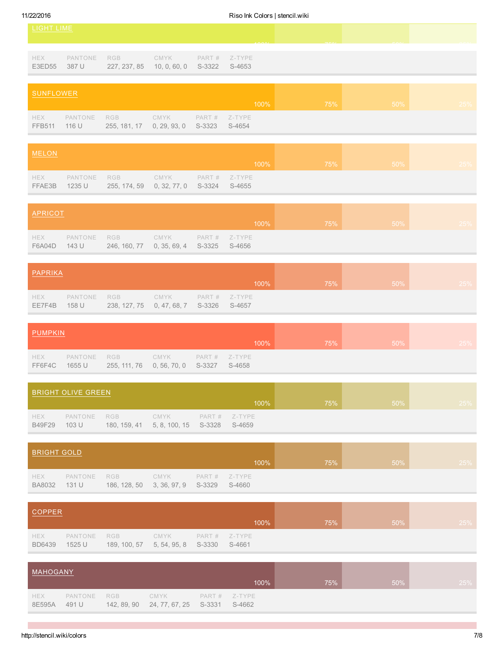HEX FFB511 PANTONE 116 U

RGB 255, 181, 17 CMYK 0, 29, 93, 0

FFAE3B 1235 U 255, 174, 59 0, 32, 77, 0 S3324 S4655

PART # S-3323

## 11/22/2016 Riso Ink Colors | stencil.wiki

| LIGHT LIME           |                  |                     |                      |        | $A\cap\cap\wedge$          | 770/ | FOM |     |
|----------------------|------------------|---------------------|----------------------|--------|----------------------------|------|-----|-----|
| <b>HEX</b><br>E3ED55 | PANTONE<br>387 U | RGB<br>227, 237, 85 | CMYK<br>10, 0, 60, 0 | S-3322 | $PART#$ $Z-TYPE$<br>S-4653 |      |     |     |
| <b>SUNFLOWER</b>     |                  |                     |                      |        | 100%                       | 75%  | 50% | 25% |

| MELON |             |                    |      |        |     |     |
|-------|-------------|--------------------|------|--------|-----|-----|
|       |             |                    | 100% | $75\%$ | 50% | 25% |
| HEX   | PANTONE RGB | CMYK PART # Z-TYPE |      |        |     |     |

Z-TYPE S-4654

| APRICOT       |                  |                                                     |  | 100%          | 75% | 50% | <b>25%</b> |
|---------------|------------------|-----------------------------------------------------|--|---------------|-----|-----|------------|
| HEX<br>F6A04D | PANTONE<br>143 U | RGB CMYK<br>246, 160, 77 0, 35, 69, 4 S-3325 S-4656 |  | PART # Z-TYPE |     |     |            |

| PAPRIKA |              |                                                                              |  |      |     |        |     |
|---------|--------------|------------------------------------------------------------------------------|--|------|-----|--------|-----|
|         |              |                                                                              |  | 100% | 75% | $50\%$ | 25% |
|         | EE7F4B 158 U | HEX PANTONE RGB CMYK PART# Z-TYPE<br>238, 127, 75 0, 47, 68, 7 S-3326 S-4657 |  |      |     |        |     |

| <b>PUMPKIN</b> |               |                                                                              |  |         |     |     |     |
|----------------|---------------|------------------------------------------------------------------------------|--|---------|-----|-----|-----|
|                |               |                                                                              |  | $100\%$ | 75% | 50% | 25% |
|                | FF6F4C 1655 U | HEX PANTONE RGB CMYK PART# Z-TYPE<br>255, 111, 76 0, 56, 70, 0 S-3327 S-4658 |  |         |     |     |     |

|               | BRIGHT OLIVE GREEN   |                                                  |  |               |     |     |     |
|---------------|----------------------|--------------------------------------------------|--|---------------|-----|-----|-----|
|               |                      |                                                  |  | 100%          | 75% | 50% | 25% |
| HEX<br>B49F29 | PANTONE RGB<br>103 U | CMYK<br>180, 159, 41 5, 8, 100, 15 S-3328 S-4659 |  | PART # Z-TYPE |     |     |     |

| <b>BRIGHT GOLD</b>          |                 |     |                                                 |  |                  |     |     |            |
|-----------------------------|-----------------|-----|-------------------------------------------------|--|------------------|-----|-----|------------|
|                             |                 |     |                                                 |  | 100%             | 75% | 50% | <b>25%</b> |
| <b>HEX</b><br><b>BA8032</b> | PANTONE<br>131U | RGB | CMYK<br>186, 128, 50 3, 36, 97, 9 S-3329 S-4660 |  | $PART#$ $Z-TYPE$ |     |     |            |

| COPPER                      |                       |                                         |      |                  |      |     |     |     |
|-----------------------------|-----------------------|-----------------------------------------|------|------------------|------|-----|-----|-----|
|                             |                       |                                         |      |                  | 100% | 75% | 50% | 25% |
| <b>HEX</b><br><b>BD6439</b> | PANTONE RGB<br>1525 U | 189, 100, 57 5, 54, 95, 8 S-3330 S-4661 | CMYK | $PART#$ $Z-TYPE$ |      |     |     |     |

| MAHOGANY             |                  |                    |                                      |  |                  |     |     |     |
|----------------------|------------------|--------------------|--------------------------------------|--|------------------|-----|-----|-----|
|                      |                  |                    |                                      |  | 100%             | 75% | 50% | 25% |
| <b>HEX</b><br>8E595A | PANTONE<br>491 U | RGB<br>142, 89, 90 | CMYK<br>24, 77, 67, 25 S-3331 S-4662 |  | $PART#$ $Z-TYPE$ |     |     |     |